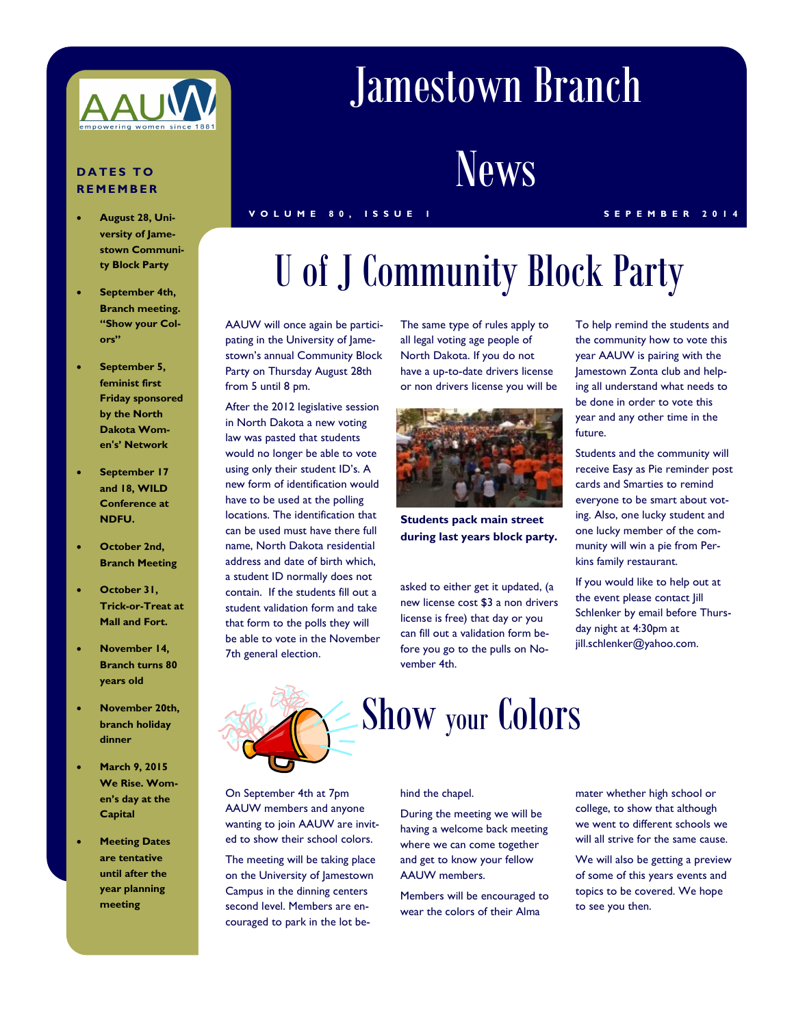

### **DATES TO RE M E M BER**

- **August 28, University of Jamestown Community Block Party**
- **September 4th, Branch meeting. "Show your Colors"**
- **September 5, feminist first Friday sponsored by the North Dakota Women's' Network**
- **September 17 and 18, WILD Conference at NDFU.**
- **October 2nd, Branch Meeting**
- **October 31, Trick-or-Treat at Mall and Fort.**
- **November 14, Branch turns 80 years old**
- **November 20th, branch holiday dinner**
- **March 9, 2015 We Rise. Women's day at the Capital**
- **Meeting Dates are tentative until after the year planning meeting**

## Jamestown Branch

## **News**

### **V O L U M E 8 0 , I S S U E 1 S E P E M B E R 2 0 1 4**

# U of J Community Block Party

AAUW will once again be participating in the University of Jamestown's annual Community Block Party on Thursday August 28th from 5 until 8 pm.

After the 2012 legislative session in North Dakota a new voting law was pasted that students would no longer be able to vote using only their student ID's. A new form of identification would have to be used at the polling locations. The identification that can be used must have there full name, North Dakota residential address and date of birth which, a student ID normally does not contain. If the students fill out a student validation form and take that form to the polls they will be able to vote in the November 7th general election.

The same type of rules apply to all legal voting age people of North Dakota. If you do not have a up-to-date drivers license or non drivers license you will be



**Students pack main street during last years block party.** 

asked to either get it updated, (a new license cost \$3 a non drivers license is free) that day or you can fill out a validation form before you go to the pulls on November 4th.

To help remind the students and the community how to vote this year AAUW is pairing with the Jamestown Zonta club and helping all understand what needs to be done in order to vote this year and any other time in the future.

Students and the community will receive Easy as Pie reminder post cards and Smarties to remind everyone to be smart about voting. Also, one lucky student and one lucky member of the community will win a pie from Perkins family restaurant.

If you would like to help out at the event please contact Jill Schlenker by email before Thursday night at 4:30pm at jill.schlenker@yahoo.com.



On September 4th at 7pm AAUW members and anyone wanting to join AAUW are invited to show their school colors.

The meeting will be taking place on the University of Jamestown Campus in the dinning centers second level. Members are encouraged to park in the lot be-

#### hind the chapel.

During the meeting we will be having a welcome back meeting where we can come together and get to know your fellow AAUW members.

Members will be encouraged to wear the colors of their Alma

mater whether high school or college, to show that although we went to different schools we will all strive for the same cause.

We will also be getting a preview of some of this years events and topics to be covered. We hope to see you then.